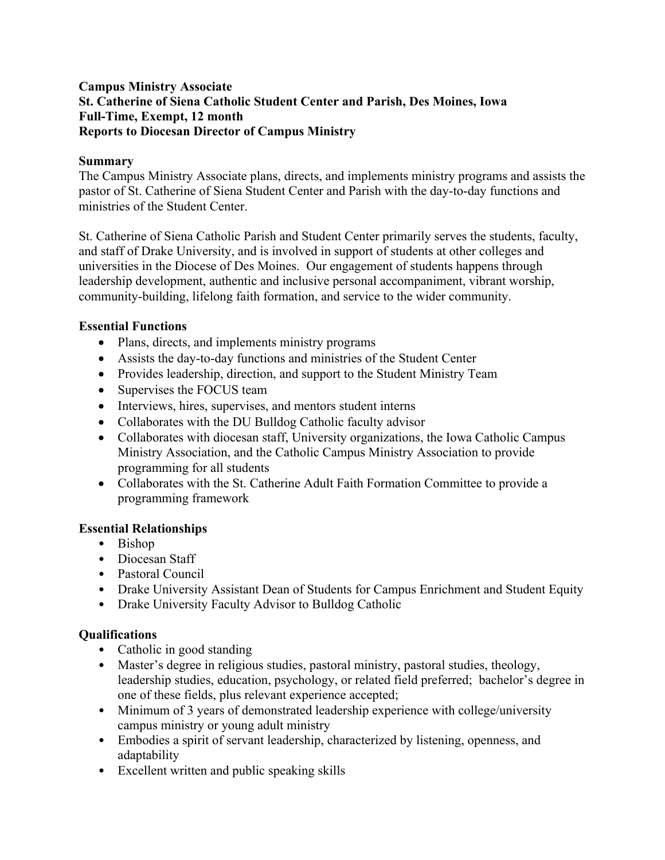## **Campus Ministry Associate St. Catherine of Siena Catholic Student Center and Parish, Des Moines, Iowa Full-Time, Exempt, 12 month Reports to Diocesan Director of Campus Ministry**

## **Summary**

The Campus Ministry Associate plans, directs, and implements ministry programs and assists the pastor of St. Catherine of Siena Student Center and Parish with the day-to-day functions and ministries of the Student Center.

St. Catherine of Siena Catholic Parish and Student Center primarily serves the students, faculty, and staff of Drake University, and is involved in support of students at other colleges and universities in the Diocese of Des Moines. Our engagement of students happens through leadership development, authentic and inclusive personal accompaniment, vibrant worship, community-building, lifelong faith formation, and service to the wider community.

## **Essential Functions**

- Plans, directs, and implements ministry programs
- Assists the day-to-day functions and ministries of the Student Center
- Provides leadership, direction, and support to the Student Ministry Team
- Supervises the FOCUS team
- Interviews, hires, supervises, and mentors student interns
- Collaborates with the DU Bulldog Catholic faculty advisor
- Collaborates with diocesan staff, University organizations, the Iowa Catholic Campus Ministry Association, and the Catholic Campus Ministry Association to provide programming for all students
- Collaborates with the St. Catherine Adult Faith Formation Committee to provide a programming framework

# **Essential Relationships**

- Bishop
- Diocesan Staff
- Pastoral Council
- Drake University Assistant Dean of Students for Campus Enrichment and Student Equity
- Drake University Faculty Advisor to Bulldog Catholic

# **Qualifications**

- Catholic in good standing
- Master's degree in religious studies, pastoral ministry, pastoral studies, theology, leadership studies, education, psychology, or related field preferred; bachelor's degree in one of these fields, plus relevant experience accepted;
- Minimum of 3 years of demonstrated leadership experience with college/university campus ministry or young adult ministry
- Embodies a spirit of servant leadership, characterized by listening, openness, and adaptability
- Excellent written and public speaking skills